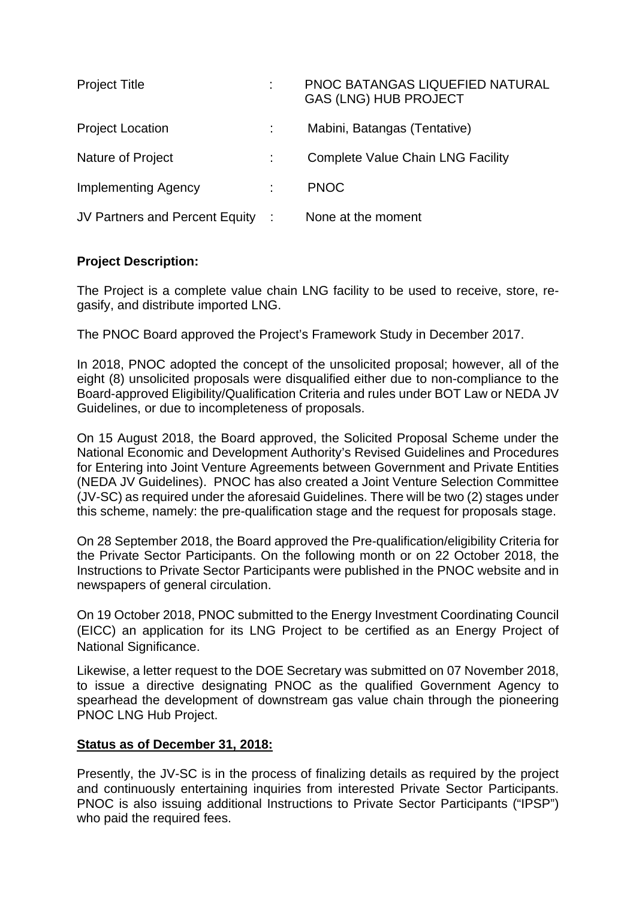| <b>Project Title</b>             | PNOC BATANGAS LIQUEFIED NATURAL<br><b>GAS (LNG) HUB PROJECT</b> |
|----------------------------------|-----------------------------------------------------------------|
| <b>Project Location</b>          | Mabini, Batangas (Tentative)                                    |
| Nature of Project                | <b>Complete Value Chain LNG Facility</b>                        |
| Implementing Agency              | <b>PNOC</b>                                                     |
| JV Partners and Percent Equity : | None at the moment                                              |

# **Project Description:**

The Project is a complete value chain LNG facility to be used to receive, store, regasify, and distribute imported LNG.

The PNOC Board approved the Project's Framework Study in December 2017.

In 2018, PNOC adopted the concept of the unsolicited proposal; however, all of the eight (8) unsolicited proposals were disqualified either due to non-compliance to the Board-approved Eligibility/Qualification Criteria and rules under BOT Law or NEDA JV Guidelines, or due to incompleteness of proposals.

On 15 August 2018, the Board approved, the Solicited Proposal Scheme under the National Economic and Development Authority's Revised Guidelines and Procedures for Entering into Joint Venture Agreements between Government and Private Entities (NEDA JV Guidelines). PNOC has also created a Joint Venture Selection Committee (JV-SC) as required under the aforesaid Guidelines. There will be two (2) stages under this scheme, namely: the pre-qualification stage and the request for proposals stage.

On 28 September 2018, the Board approved the Pre-qualification/eligibility Criteria for the Private Sector Participants. On the following month or on 22 October 2018, the Instructions to Private Sector Participants were published in the PNOC website and in newspapers of general circulation.

On 19 October 2018, PNOC submitted to the Energy Investment Coordinating Council (EICC) an application for its LNG Project to be certified as an Energy Project of National Significance.

Likewise, a letter request to the DOE Secretary was submitted on 07 November 2018, to issue a directive designating PNOC as the qualified Government Agency to spearhead the development of downstream gas value chain through the pioneering PNOC LNG Hub Project.

## **Status as of December 31, 2018:**

Presently, the JV-SC is in the process of finalizing details as required by the project and continuously entertaining inquiries from interested Private Sector Participants. PNOC is also issuing additional Instructions to Private Sector Participants ("IPSP") who paid the required fees.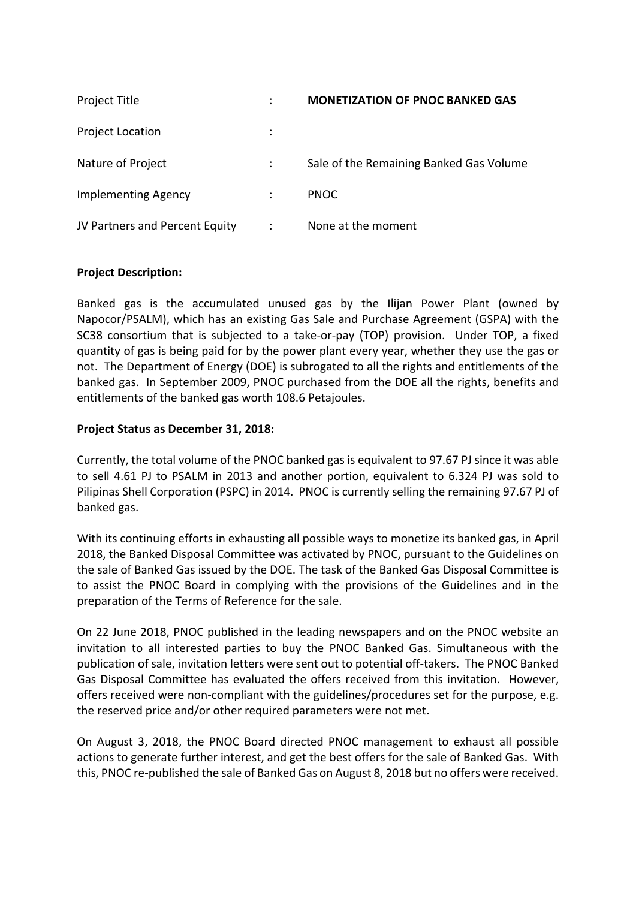| Project Title                  |                      | <b>MONETIZATION OF PNOC BANKED GAS</b>  |
|--------------------------------|----------------------|-----------------------------------------|
| <b>Project Location</b>        |                      |                                         |
| Nature of Project              |                      | Sale of the Remaining Banked Gas Volume |
| <b>Implementing Agency</b>     |                      | <b>PNOC</b>                             |
| JV Partners and Percent Equity | $\ddot{\phantom{a}}$ | None at the moment                      |

#### **Project Description:**

Banked gas is the accumulated unused gas by the Ilijan Power Plant (owned by Napocor/PSALM), which has an existing Gas Sale and Purchase Agreement (GSPA) with the SC38 consortium that is subjected to a take‐or‐pay (TOP) provision. Under TOP, a fixed quantity of gas is being paid for by the power plant every year, whether they use the gas or not. The Department of Energy (DOE) is subrogated to all the rights and entitlements of the banked gas. In September 2009, PNOC purchased from the DOE all the rights, benefits and entitlements of the banked gas worth 108.6 Petajoules.

#### **Project Status as December 31, 2018:**

Currently, the total volume of the PNOC banked gas is equivalent to 97.67 PJ since it was able to sell 4.61 PJ to PSALM in 2013 and another portion, equivalent to 6.324 PJ was sold to Pilipinas Shell Corporation (PSPC) in 2014. PNOC is currently selling the remaining 97.67 PJ of banked gas.

With its continuing efforts in exhausting all possible ways to monetize its banked gas, in April 2018, the Banked Disposal Committee was activated by PNOC, pursuant to the Guidelines on the sale of Banked Gas issued by the DOE. The task of the Banked Gas Disposal Committee is to assist the PNOC Board in complying with the provisions of the Guidelines and in the preparation of the Terms of Reference for the sale.

On 22 June 2018, PNOC published in the leading newspapers and on the PNOC website an invitation to all interested parties to buy the PNOC Banked Gas. Simultaneous with the publication of sale, invitation letters were sent out to potential off‐takers. The PNOC Banked Gas Disposal Committee has evaluated the offers received from this invitation. However, offers received were non‐compliant with the guidelines/procedures set for the purpose, e.g. the reserved price and/or other required parameters were not met.

On August 3, 2018, the PNOC Board directed PNOC management to exhaust all possible actions to generate further interest, and get the best offers for the sale of Banked Gas. With this, PNOC re‐published the sale of Banked Gas on August 8, 2018 but no offers were received.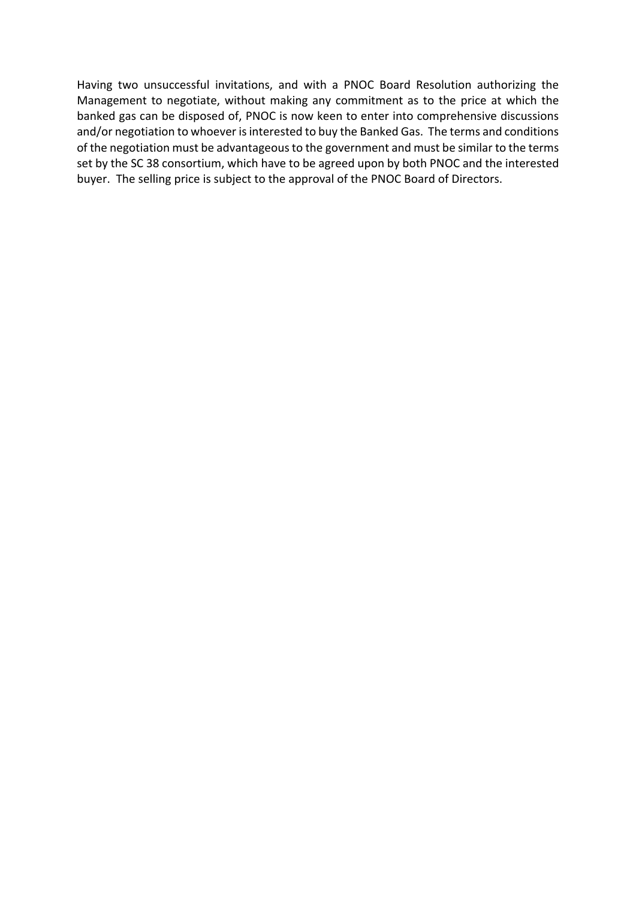Having two unsuccessful invitations, and with a PNOC Board Resolution authorizing the Management to negotiate, without making any commitment as to the price at which the banked gas can be disposed of, PNOC is now keen to enter into comprehensive discussions and/or negotiation to whoever is interested to buy the Banked Gas. The terms and conditions of the negotiation must be advantageousto the government and must be similar to the terms set by the SC 38 consortium, which have to be agreed upon by both PNOC and the interested buyer. The selling price is subject to the approval of the PNOC Board of Directors.